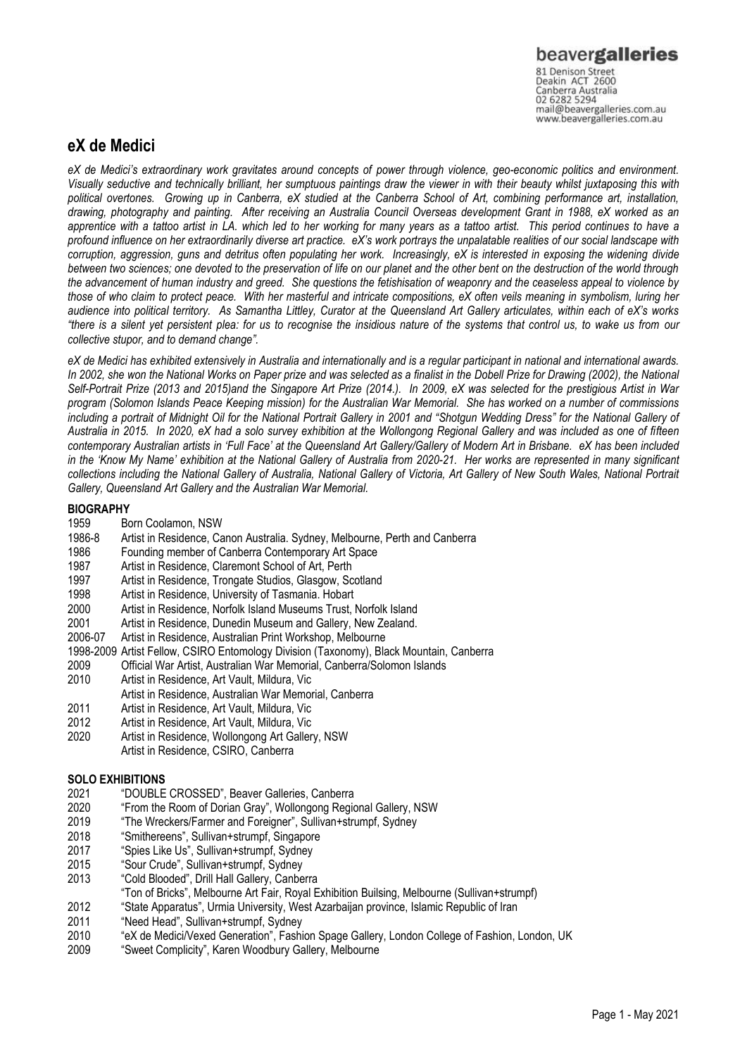81 Denison Street<br>Deakin ACT 2600 Canberra Australia 02 6282 5294 mail@beavergalleries.com.au www.beavergalleries.com.au

# **eX de Medici**

*eX de Medici's extraordinary work gravitates around concepts of power through violence, geo-economic politics and environment. Visually seductive and technically brilliant, her sumptuous paintings draw the viewer in with their beauty whilst juxtaposing this with political overtones. Growing up in Canberra, eX studied at the Canberra School of Art, combining performance art, installation, drawing, photography and painting. After receiving an Australia Council Overseas development Grant in 1988, eX worked as an apprentice with a tattoo artist in LA. which led to her working for many years as a tattoo artist. This period continues to have a profound influence on her extraordinarily diverse art practice. eX's work portrays the unpalatable realities of our social landscape with corruption, aggression, guns and detritus often populating her work. Increasingly, eX is interested in exposing the widening divide between two sciences; one devoted to the preservation of life on our planet and the other bent on the destruction of the world through the advancement of human industry and greed. She questions the fetishisation of weaponry and the ceaseless appeal to violence by those of who claim to protect peace. With her masterful and intricate compositions, eX often veils meaning in symbolism, luring her audience into political territory. As Samantha Littley, Curator at the Queensland Art Gallery articulates, within each of eX's works "there is a silent yet persistent plea: for us to recognise the insidious nature of the systems that control us, to wake us from our collective stupor, and to demand change".* 

*eX de Medici has exhibited extensively in Australia and internationally and is a regular participant in national and international awards.*  In 2002, she won the National Works on Paper prize and was selected as a finalist in the Dobell Prize for Drawing (2002), the National *Self-Portrait Prize (2013 and 2015)and the Singapore Art Prize (2014.). In 2009, eX was selected for the prestigious Artist in War program (Solomon Islands Peace Keeping mission) for the Australian War Memorial. She has worked on a number of commissions including a portrait of Midnight Oil for the National Portrait Gallery in 2001 and "Shotgun Wedding Dress" for the National Gallery of Australia in 2015. In 2020, eX had a solo survey exhibition at the Wollongong Regional Gallery and was included as one of fifteen contemporary Australian artists in 'Full Face' at the Queensland Art Gallery/Gallery of Modern Art in Brisbane. eX has been included in the 'Know My Name' exhibition at the National Gallery of Australia from 2020-21. Her works are represented in many significant collections including the National Gallery of Australia, National Gallery of Victoria, Art Gallery of New South Wales, National Portrait Gallery, Queensland Art Gallery and the Australian War Memorial.* 

## **BIOGRAPHY**

- 1959 Born Coolamon, NSW
- 1986-8 Artist in Residence, Canon Australia. Sydney, Melbourne, Perth and Canberra
- 1986 Founding member of Canberra Contemporary Art Space
- 1987 Artist in Residence, Claremont School of Art, Perth
- 1997 Artist in Residence, Trongate Studios, Glasgow, Scotland
- 1998 Artist in Residence, University of Tasmania. Hobart
- 2000 Artist in Residence, Norfolk Island Museums Trust, Norfolk Island<br>2001 Artist in Residence, Dunedin Museum and Gallery, New Zealand.
- 2001 Artist in Residence, Dunedin Museum and Gallery, New Zealand.<br>2006-07 Artist in Residence. Australian Print Workshop. Melbourne
- Artist in Residence, Australian Print Workshop, Melbourne
- 1998-2009 Artist Fellow, CSIRO Entomology Division (Taxonomy), Black Mountain, Canberra
- 2009 Official War Artist, Australian War Memorial, Canberra/Solomon Islands
- 2010 Artist in Residence, Art Vault, Mildura, Vic
- Artist in Residence, Australian War Memorial, Canberra
- 2011 Artist in Residence, Art Vault, Mildura, Vic
- 2012 Artist in Residence, Art Vault, Mildura, Vic
- 2020 Artist in Residence, Wollongong Art Gallery, NSW
	- Artist in Residence, CSIRO, Canberra

## **SOLO EXHIBITIONS**

- 2021 "DOUBLE CROSSED", Beaver Galleries, Canberra
- "From the Room of Dorian Gray", Wollongong Regional Gallery, NSW
- 2019 "The Wreckers/Farmer and Foreigner", Sullivan+strumpf, Sydney
- 2018 "Smithereens", Sullivan+strumpf, Singapore
- 2017 "Spies Like Us", Sullivan+strumpf, Sydney
- 2015 "Sour Crude", Sullivan+strumpf, Sydney
- 2013 "Cold Blooded", Drill Hall Gallery, Canberra
- "Ton of Bricks", Melbourne Art Fair, Royal Exhibition Builsing, Melbourne (Sullivan+strumpf)
- 2012 "State Apparatus", Urmia University, West Azarbaijan province, Islamic Republic of Iran
- 2011 "Need Head", Sullivan+strumpf, Sydney
- 2010 "eX de Medici/Vexed Generation", Fashion Spage Gallery, London College of Fashion, London, UK
- 2009 "Sweet Complicity", Karen Woodbury Gallery, Melbourne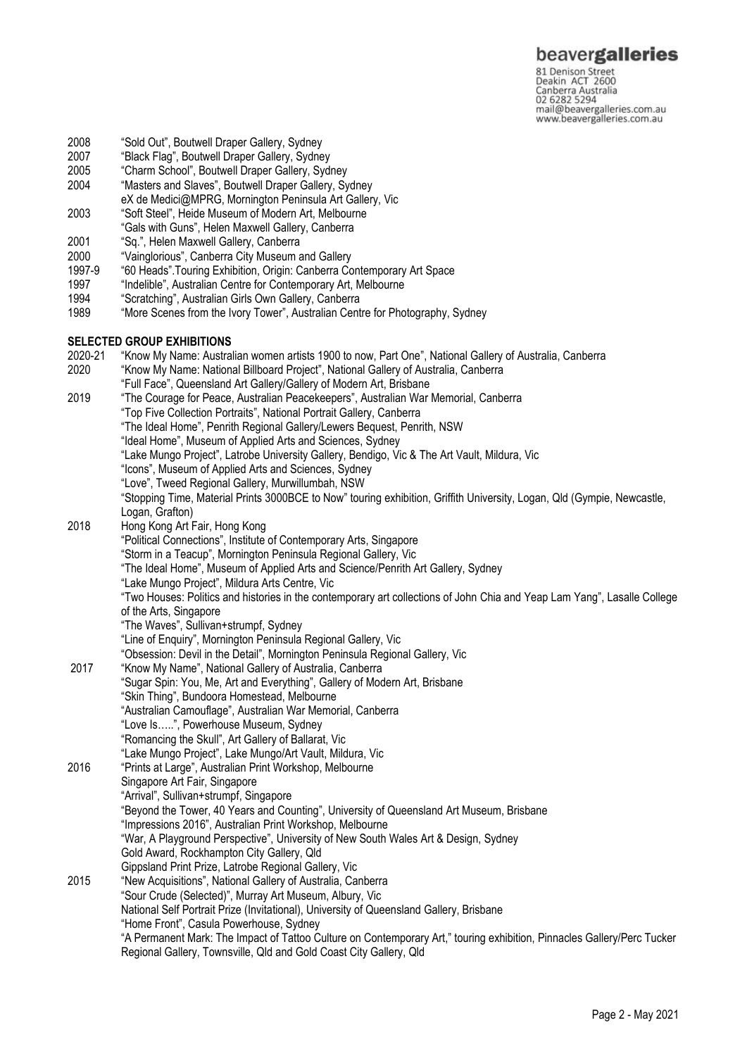# beavergalleries

81 Denison Street<br>Deakin ACT 2600 Canberra Australia mail@beavergalleries.com.au www.beavergalleries.com.au

- 2008 "Sold Out", Boutwell Draper Gallery, Sydney
- 2007 "Black Flag", Boutwell Draper Gallery, Sydney
- "Charm School", Boutwell Draper Gallery, Sydney
- 2004 "Masters and Slaves", Boutwell Draper Gallery, Sydney
- eX de Medici@MPRG, Mornington Peninsula Art Gallery, Vic
- 2003 "Soft Steel", Heide Museum of Modern Art, Melbourne
- "Gals with Guns", Helen Maxwell Gallery, Canberra
- 2001 "Sq.", Helen Maxwell Gallery, Canberra
- 2000 "Vainglorious", Canberra City Museum and Gallery
- "60 Heads". Touring Exhibition, Origin: Canberra Contemporary Art Space
- 1997 "Indelible", Australian Centre for Contemporary Art, Melbourne
- 1994 "Scratching", Australian Girls Own Gallery, Canberra
- 1989 "More Scenes from the Ivory Tower", Australian Centre for Photography, Sydney

#### **SELECTED GROUP EXHIBITIONS**

2020-21 "Know My Name: Australian women artists 1900 to now, Part One", National Gallery of Australia, Canberra<br>2020 "Know My Name: National Billboard Proiect". National Gallery of Australia. Canberra 2020 "Know My Name: National Billboard Project", National Gallery of Australia, Canberra "Full Face", Queensland Art Gallery/Gallery of Modern Art, Brisbane 2019 "The Courage for Peace, Australian Peacekeepers", Australian War Memorial, Canberra "Top Five Collection Portraits", National Portrait Gallery, Canberra "The Ideal Home", Penrith Regional Gallery/Lewers Bequest, Penrith, NSW "Ideal Home", Museum of Applied Arts and Sciences, Sydney "Lake Mungo Project", Latrobe University Gallery, Bendigo, Vic & The Art Vault, Mildura, Vic "Icons", Museum of Applied Arts and Sciences, Sydney "Love", Tweed Regional Gallery, Murwillumbah, NSW "Stopping Time, Material Prints 3000BCE to Now" touring exhibition, Griffith University, Logan, Qld (Gympie, Newcastle, Logan, Grafton) 2018 Hong Kong Art Fair, Hong Kong "Political Connections", Institute of Contemporary Arts, Singapore "Storm in a Teacup", Mornington Peninsula Regional Gallery, Vic "The Ideal Home", Museum of Applied Arts and Science/Penrith Art Gallery, Sydney "Lake Mungo Project", Mildura Arts Centre, Vic "Two Houses: Politics and histories in the contemporary art collections of John Chia and Yeap Lam Yang", Lasalle College of the Arts, Singapore "The Waves", Sullivan+strumpf, Sydney "Line of Enquiry", Mornington Peninsula Regional Gallery, Vic "Obsession: Devil in the Detail", Mornington Peninsula Regional Gallery, Vic 2017 "Know My Name", National Gallery of Australia, Canberra "Sugar Spin: You, Me, Art and Everything", Gallery of Modern Art, Brisbane "Skin Thing", Bundoora Homestead, Melbourne "Australian Camouflage", Australian War Memorial, Canberra "Love Is…..", Powerhouse Museum, Sydney "Romancing the Skull", Art Gallery of Ballarat, Vic "Lake Mungo Project", Lake Mungo/Art Vault, Mildura, Vic 2016 "Prints at Large", Australian Print Workshop, Melbourne Singapore Art Fair, Singapore "Arrival", Sullivan+strumpf, Singapore "Beyond the Tower, 40 Years and Counting", University of Queensland Art Museum, Brisbane "Impressions 2016", Australian Print Workshop, Melbourne "War, A Playground Perspective", University of New South Wales Art & Design, Sydney Gold Award, Rockhampton City Gallery, Qld Gippsland Print Prize, Latrobe Regional Gallery, Vic 2015 "New Acquisitions", National Gallery of Australia, Canberra "Sour Crude (Selected)", Murray Art Museum, Albury, Vic National Self Portrait Prize (Invitational), University of Queensland Gallery, Brisbane "Home Front", Casula Powerhouse, Sydney "A Permanent Mark: The Impact of Tattoo Culture on Contemporary Art," touring exhibition, Pinnacles Gallery/Perc Tucker Regional Gallery, Townsville, Qld and Gold Coast City Gallery, Qld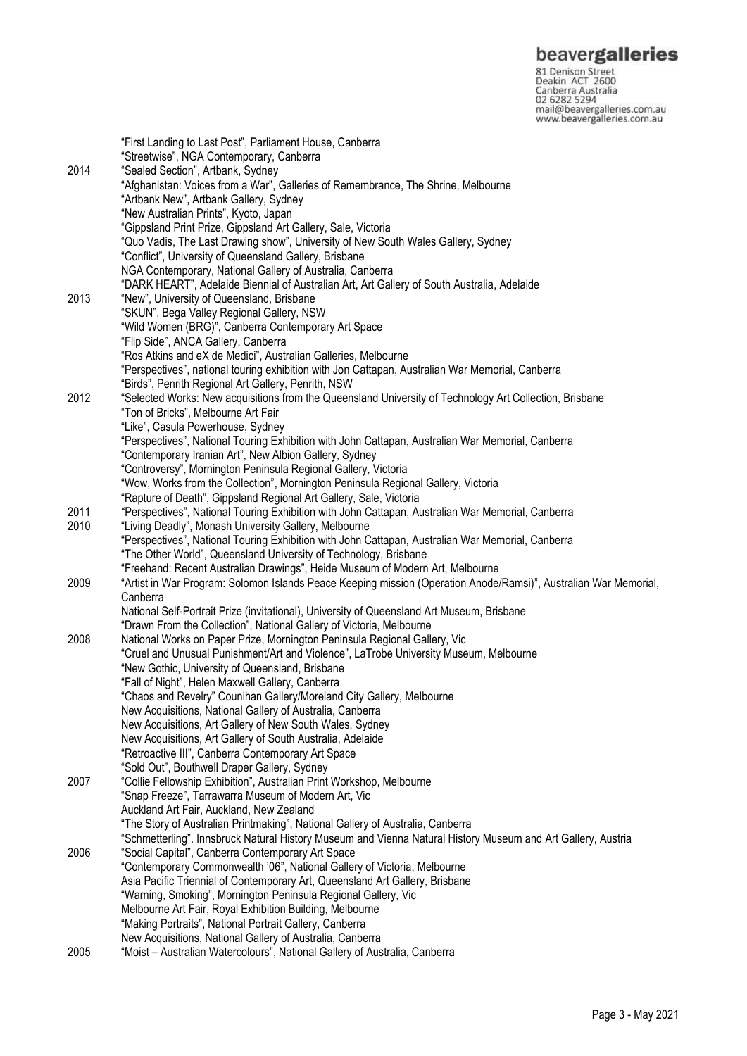**beavergalleries**<br>
81 Denison Street<br>
Deakin ACT 2600<br>
Canberra Australia<br>
02 6282 5294<br>
mail@beavergalleries.com.au<br>
www.beavergalleries.com.au

|      | "First Landing to Last Post", Parliament House, Canberra                                                         |
|------|------------------------------------------------------------------------------------------------------------------|
|      | "Streetwise", NGA Contemporary, Canberra                                                                         |
| 2014 | "Sealed Section", Artbank, Sydney                                                                                |
|      | "Afghanistan: Voices from a War", Galleries of Remembrance, The Shrine, Melbourne                                |
|      | "Artbank New", Artbank Gallery, Sydney                                                                           |
|      | "New Australian Prints", Kyoto, Japan                                                                            |
|      | "Gippsland Print Prize, Gippsland Art Gallery, Sale, Victoria                                                    |
|      | "Quo Vadis, The Last Drawing show", University of New South Wales Gallery, Sydney                                |
|      | "Conflict", University of Queensland Gallery, Brisbane                                                           |
|      | NGA Contemporary, National Gallery of Australia, Canberra                                                        |
|      | "DARK HEART", Adelaide Biennial of Australian Art, Art Gallery of South Australia, Adelaide                      |
| 2013 | "New", University of Queensland, Brisbane                                                                        |
|      | "SKUN", Bega Valley Regional Gallery, NSW                                                                        |
|      | "Wild Women (BRG)", Canberra Contemporary Art Space                                                              |
|      | "Flip Side", ANCA Gallery, Canberra                                                                              |
|      | "Ros Atkins and eX de Medici", Australian Galleries, Melbourne                                                   |
|      | "Perspectives", national touring exhibition with Jon Cattapan, Australian War Memorial, Canberra                 |
|      | "Birds", Penrith Regional Art Gallery, Penrith, NSW                                                              |
| 2012 | "Selected Works: New acquisitions from the Queensland University of Technology Art Collection, Brisbane          |
|      | "Ton of Bricks", Melbourne Art Fair                                                                              |
|      | "Like", Casula Powerhouse, Sydney                                                                                |
|      | "Perspectives", National Touring Exhibition with John Cattapan, Australian War Memorial, Canberra                |
|      | "Contemporary Iranian Art", New Albion Gallery, Sydney                                                           |
|      | "Controversy", Mornington Peninsula Regional Gallery, Victoria                                                   |
|      | "Wow, Works from the Collection", Mornington Peninsula Regional Gallery, Victoria                                |
|      | "Rapture of Death", Gippsland Regional Art Gallery, Sale, Victoria                                               |
| 2011 | "Perspectives", National Touring Exhibition with John Cattapan, Australian War Memorial, Canberra                |
| 2010 | "Living Deadly", Monash University Gallery, Melbourne                                                            |
|      | "Perspectives", National Touring Exhibition with John Cattapan, Australian War Memorial, Canberra                |
|      | "The Other World", Queensland University of Technology, Brisbane                                                 |
|      | "Freehand: Recent Australian Drawings", Heide Museum of Modern Art, Melbourne                                    |
| 2009 | "Artist in War Program: Solomon Islands Peace Keeping mission (Operation Anode/Ramsi)", Australian War Memorial, |
|      | Canberra<br>National Self-Portrait Prize (invitational), University of Queensland Art Museum, Brisbane           |
|      | "Drawn From the Collection", National Gallery of Victoria, Melbourne                                             |
| 2008 | National Works on Paper Prize, Mornington Peninsula Regional Gallery, Vic                                        |
|      | "Cruel and Unusual Punishment/Art and Violence", LaTrobe University Museum, Melbourne                            |
|      | "New Gothic, University of Queensland, Brisbane                                                                  |
|      | "Fall of Night", Helen Maxwell Gallery, Canberra                                                                 |
|      | "Chaos and Revelry" Counihan Gallery/Moreland City Gallery, Melbourne                                            |
|      | New Acquisitions, National Gallery of Australia, Canberra                                                        |
|      | New Acquisitions, Art Gallery of New South Wales, Sydney                                                         |
|      | New Acquisitions, Art Gallery of South Australia, Adelaide                                                       |
|      | "Retroactive III", Canberra Contemporary Art Space                                                               |
|      | "Sold Out", Bouthwell Draper Gallery, Sydney                                                                     |
| 2007 | "Collie Fellowship Exhibition", Australian Print Workshop, Melbourne                                             |
|      | "Snap Freeze", Tarrawarra Museum of Modern Art, Vic                                                              |
|      | Auckland Art Fair, Auckland, New Zealand                                                                         |
|      | "The Story of Australian Printmaking", National Gallery of Australia, Canberra                                   |
|      | "Schmetterling". Innsbruck Natural History Museum and Vienna Natural History Museum and Art Gallery, Austria     |
| 2006 | "Social Capital", Canberra Contemporary Art Space                                                                |
|      | "Contemporary Commonwealth '06", National Gallery of Victoria, Melbourne                                         |
|      | Asia Pacific Triennial of Contemporary Art, Queensland Art Gallery, Brisbane                                     |
|      | "Warning, Smoking", Mornington Peninsula Regional Gallery, Vic                                                   |
|      | Melbourne Art Fair, Royal Exhibition Building, Melbourne                                                         |
|      | "Making Portraits", National Portrait Gallery, Canberra                                                          |
|      | New Acquisitions, National Gallery of Australia, Canberra                                                        |
| 2005 | "Moist - Australian Watercolours", National Gallery of Australia, Canberra                                       |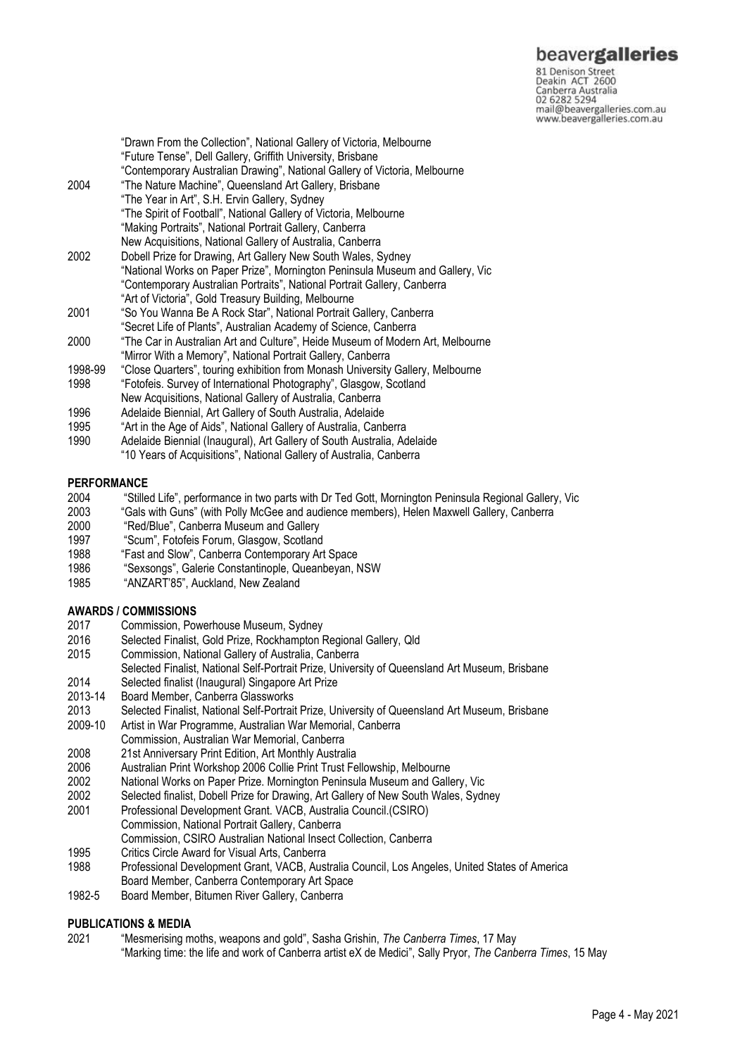# beavergalleries

81 Denison Street<br>Deakin ACT 2600 Canberra Australia 02 6282 5294 mail@beavergalleries.com.au www.beavergalleries.com.au

"Drawn From the Collection", National Gallery of Victoria, Melbourne "Future Tense", Dell Gallery, Griffith University, Brisbane "Contemporary Australian Drawing", National Gallery of Victoria, Melbourne 2004 "The Nature Machine", Queensland Art Gallery, Brisbane "The Year in Art", S.H. Ervin Gallery, Sydney "The Spirit of Football", National Gallery of Victoria, Melbourne "Making Portraits", National Portrait Gallery, Canberra New Acquisitions, National Gallery of Australia, Canberra 2002 Dobell Prize for Drawing, Art Gallery New South Wales, Sydney "National Works on Paper Prize", Mornington Peninsula Museum and Gallery, Vic "Contemporary Australian Portraits", National Portrait Gallery, Canberra "Art of Victoria", Gold Treasury Building, Melbourne 2001 "So You Wanna Be A Rock Star", National Portrait Gallery, Canberra "Secret Life of Plants", Australian Academy of Science, Canberra 2000 "The Car in Australian Art and Culture", Heide Museum of Modern Art, Melbourne "Mirror With a Memory", National Portrait Gallery, Canberra 1998-99 "Close Quarters", touring exhibition from Monash University Gallery, Melbourne 1998 "Fotofeis. Survey of International Photography", Glasgow, Scotland New Acquisitions, National Gallery of Australia, Canberra 1996 Adelaide Biennial, Art Gallery of South Australia, Adelaide

- 1995 "Art in the Age of Aids", National Gallery of Australia, Canberra
- 1990 Adelaide Biennial (Inaugural), Art Gallery of South Australia, Adelaide
- "10 Years of Acquisitions", National Gallery of Australia, Canberra

#### **PERFORMANCE**

- 2004 "Stilled Life", performance in two parts with Dr Ted Gott, Mornington Peninsula Regional Gallery, Vic<br>2003 "Gals with Guns" (with Polly McGee and audience members). Helen Maxwell Gallery, Canberra
- 2003 "Gals with Guns" (with Polly McGee and audience members), Helen Maxwell Gallery, Canberra
- 2000 "Red/Blue", Canberra Museum and Gallery
- 1997 "Scum", Fotofeis Forum, Glasgow, Scotland<br>1988 "Fast and Slow". Canberra Contemporary Ar
- 1988 "Fast and Slow", Canberra Contemporary Art Space
- "Sexsongs", Galerie Constantinople, Queanbeyan, NSW
- 1985 "ANZART'85", Auckland, New Zealand

#### **AWARDS / COMMISSIONS**

- 2017 Commission, Powerhouse Museum, Sydney
- 2016 Selected Finalist, Gold Prize, Rockhampton Regional Gallery, Qld
- Commission, National Gallery of Australia, Canberra
- Selected Finalist, National Self-Portrait Prize, University of Queensland Art Museum, Brisbane
- 2014 Selected finalist (Inaugural) Singapore Art Prize
- 2013-14 Board Member, Canberra Glassworks
- 2013 Selected Finalist, National Self-Portrait Prize, University of Queensland Art Museum, Brisbane
- 2009-10 Artist in War Programme, Australian War Memorial, Canberra
- Commission, Australian War Memorial, Canberra
- 2008 21st Anniversary Print Edition, Art Monthly Australia
- 2006 Australian Print Workshop 2006 Collie Print Trust Fellowship, Melbourne
- 2002 National Works on Paper Prize. Mornington Peninsula Museum and Gallery, Vic
- 2002 Selected finalist, Dobell Prize for Drawing, Art Gallery of New South Wales, Sydney
- 2001 Professional Development Grant. VACB, Australia Council.(CSIRO) Commission, National Portrait Gallery, Canberra
- Commission, CSIRO Australian National Insect Collection, Canberra
- 1995 Critics Circle Award for Visual Arts, Canberra
- 1988 Professional Development Grant, VACB, Australia Council, Los Angeles, United States of America Board Member, Canberra Contemporary Art Space
- 1982-5 Board Member, Bitumen River Gallery, Canberra

## **PUBLICATIONS & MEDIA**

2021 "Mesmerising moths, weapons and gold", Sasha Grishin, *The Canberra Times*, 17 May "Marking time: the life and work of Canberra artist eX de Medici", Sally Pryor, *The Canberra Times*, 15 May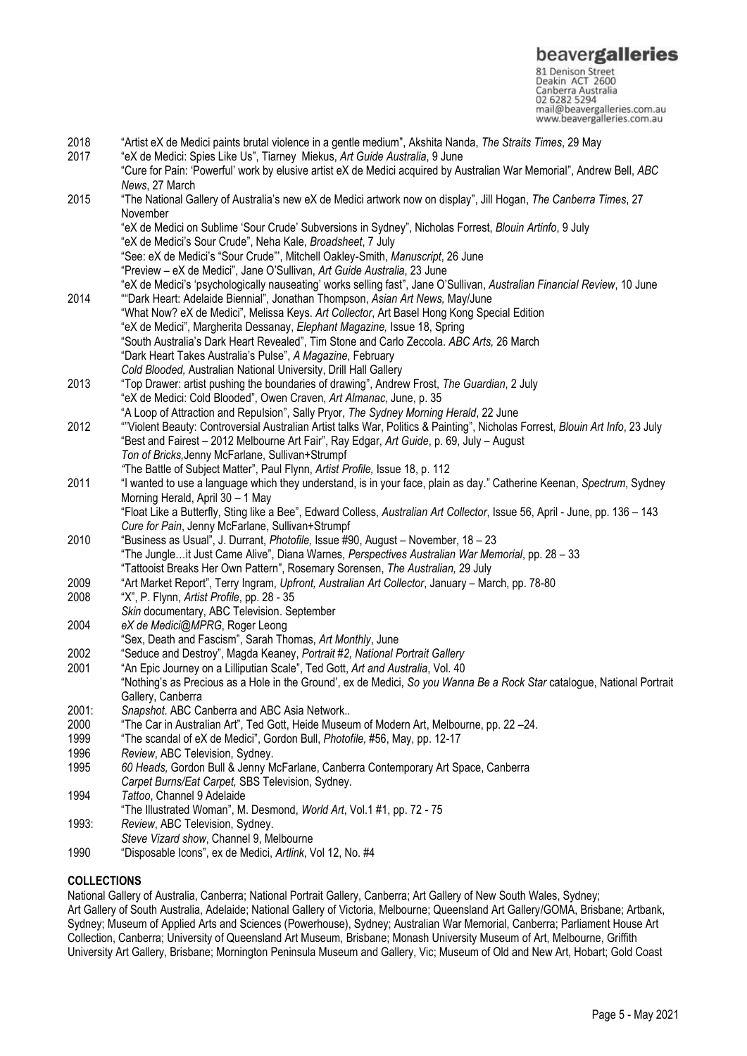81 Denison Street<br>Deakin ACT 2600 Canberra Australia 02 6282 5294 mail@beavergalleries.com.au www.beavergalleries.com.au

2018 "Artist eX de Medici paints brutal violence in a gentle medium", Akshita Nanda, *The Straits Times*, 29 May 2017 "eX de Medici: Spies Like Us", Tiarney Miekus, *Art Guide Australia*, 9 June "Cure for Pain: 'Powerful' work by elusive artist eX de Medici acquired by Australian War Memorial", Andrew Bell, *ABC News*, 27 March 2015 "The National Gallery of Australia's new eX de Medici artwork now on display", Jill Hogan, *The Canberra Times*, 27 November "eX de Medici on Sublime 'Sour Crude' Subversions in Sydney", Nicholas Forrest, *Blouin Artinfo*, 9 July "eX de Medici's Sour Crude", Neha Kale, *Broadsheet*, 7 July "See: eX de Medici's "Sour Crude"', Mitchell Oakley-Smith, *Manuscript*, 26 June "Preview – eX de Medici", Jane O'Sullivan, *Art Guide Australia*, 23 June "eX de Medici's 'psychologically nauseating' works selling fast", Jane O'Sullivan, *Australian Financial Review*, 10 June 2014 ""Dark Heart: Adelaide Biennial", Jonathan Thompson, *Asian Art News,* May/June "What Now? eX de Medici", Melissa Keys. *Art Collector*, Art Basel Hong Kong Special Edition "eX de Medici", Margherita Dessanay, *Elephant Magazine,* Issue 18, Spring "South Australia's Dark Heart Revealed", Tim Stone and Carlo Zeccola. *ABC Arts,* 26 March "Dark Heart Takes Australia's Pulse", *A Magazine*, February *Cold Blooded,* Australian National University, Drill Hall Gallery 2013 "Top Drawer: artist pushing the boundaries of drawing", Andrew Frost, *The Guardian*, 2 July "eX de Medici: Cold Blooded", Owen Craven, *Art Almanac*, June, p. 35 "A Loop of Attraction and Repulsion", Sally Pryor, *The Sydney Morning Herald*, 22 June 2012 ""Violent Beauty: Controversial Australian Artist talks War, Politics & Painting", Nicholas Forrest, *Blouin Art Info*, 23 July "Best and Fairest – 2012 Melbourne Art Fair", Ray Edgar, *Art Guide*, p. 69, July – August *Ton of Bricks,*Jenny McFarlane, Sullivan+Strumpf *"*The Battle of Subject Matter", Paul Flynn, *Artist Profile,* Issue 18, p. 112 2011 "I wanted to use a language which they understand, is in your face, plain as day." Catherine Keenan, *Spectrum*, Sydney Morning Herald, April 30 – 1 May "Float Like a Butterfly, Sting like a Bee", Edward Colless, *Australian Art Collector*, Issue 56, April - June, pp. 136 – 143 *Cure for Pain*, Jenny McFarlane, Sullivan+Strumpf 2010 "Business as Usual", J. Durrant, *Photofile,* Issue #90, August – November, 18 – 23 "The Jungle…it Just Came Alive", Diana Warnes, *Perspectives Australian War Memorial*, pp. 28 – 33 "Tattooist Breaks Her Own Pattern", Rosemary Sorensen, *The Australian,* 29 July 2009 "Art Market Report", Terry Ingram, *Upfront, Australian Art Collector*, January – March, pp. 78-80 "X", P. Flynn, *Artist Profile*, pp. 28 - 35 *Skin* documentary, ABC Television. September 2004 *eX de Medici@MPRG*, Roger Leong "Sex, Death and Fascism", Sarah Thomas, *Art Monthly*, June 2002 "Seduce and Destroy", Magda Keaney, *Portrait #2, National Portrait Gallery* 2001 "An Epic Journey on a Lilliputian Scale", Ted Gott, *Art and Australia*, Vol. 40 "Nothing's as Precious as a Hole in the Ground', ex de Medici, *So you Wanna Be a Rock Star* catalogue, National Portrait Gallery, Canberra 2001: *Snapshot*. ABC Canberra and ABC Asia Network.. 2000 "The Car in Australian Art", Ted Gott, Heide Museum of Modern Art, Melbourne, pp. 22 –24. 1999 "The scandal of eX de Medici", Gordon Bull, *Photofile,* #56, May, pp. 12-17 1996 *Review*, ABC Television, Sydney. 1995 *60 Heads,* Gordon Bull & Jenny McFarlane, Canberra Contemporary Art Space, Canberra *Carpet Burns/Eat Carpet,* SBS Television, Sydney. 1994 *Tattoo*, Channel 9 Adelaide "The Illustrated Woman", M. Desmond, *World Art*, Vol.1 #1, pp. 72 - 75 1993: *Review*, ABC Television, Sydney. *Steve Vizard show*, Channel 9, Melbourne 1990 "Disposable Icons", ex de Medici, *Artlink*, Vol 12, No. #4

## **COLLECTIONS**

National Gallery of Australia, Canberra; National Portrait Gallery, Canberra; Art Gallery of New South Wales, Sydney; Art Gallery of South Australia, Adelaide; National Gallery of Victoria, Melbourne; Queensland Art Gallery/GOMA, Brisbane; Artbank, Sydney; Museum of Applied Arts and Sciences (Powerhouse), Sydney; Australian War Memorial, Canberra; Parliament House Art Collection, Canberra; University of Queensland Art Museum, Brisbane; Monash University Museum of Art, Melbourne, Griffith University Art Gallery, Brisbane; Mornington Peninsula Museum and Gallery, Vic; Museum of Old and New Art, Hobart; Gold Coast